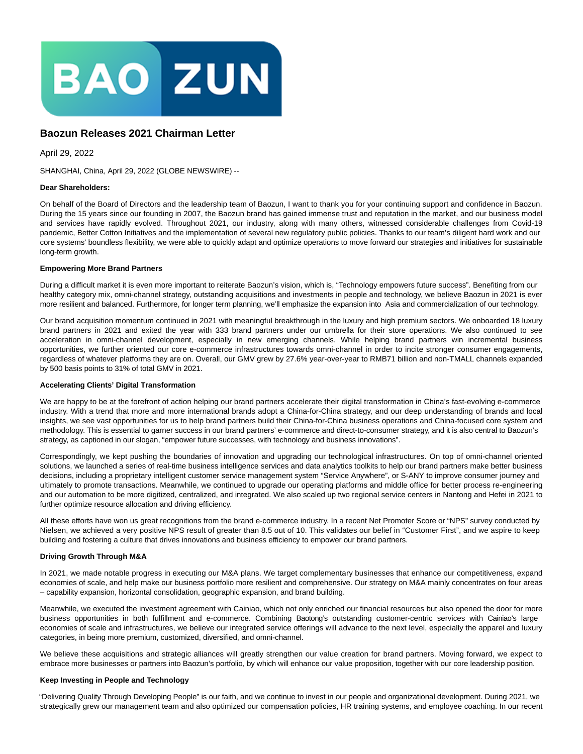

# **Baozun Releases 2021 Chairman Letter**

April 29, 2022

SHANGHAI, China, April 29, 2022 (GLOBE NEWSWIRE) --

## **Dear Shareholders:**

On behalf of the Board of Directors and the leadership team of Baozun, I want to thank you for your continuing support and confidence in Baozun. During the 15 years since our founding in 2007, the Baozun brand has gained immense trust and reputation in the market, and our business model and services have rapidly evolved. Throughout 2021, our industry, along with many others, witnessed considerable challenges from Covid-19 pandemic, Better Cotton Initiatives and the implementation of several new regulatory public policies. Thanks to our team's diligent hard work and our core systems' boundless flexibility, we were able to quickly adapt and optimize operations to move forward our strategies and initiatives for sustainable long-term growth.

#### **Empowering More Brand Partners**

During a difficult market it is even more important to reiterate Baozun's vision, which is, "Technology empowers future success". Benefiting from our healthy category mix, omni-channel strategy, outstanding acquisitions and investments in people and technology, we believe Baozun in 2021 is ever more resilient and balanced. Furthermore, for longer term planning, we'll emphasize the expansion into Asia and commercialization of our technology.

Our brand acquisition momentum continued in 2021 with meaningful breakthrough in the luxury and high premium sectors. We onboarded 18 luxury brand partners in 2021 and exited the year with 333 brand partners under our umbrella for their store operations. We also continued to see acceleration in omni-channel development, especially in new emerging channels. While helping brand partners win incremental business opportunities, we further oriented our core e-commerce infrastructures towards omni-channel in order to incite stronger consumer engagements, regardless of whatever platforms they are on. Overall, our GMV grew by 27.6% year-over-year to RMB71 billion and non-TMALL channels expanded by 500 basis points to 31% of total GMV in 2021.

## **Accelerating Clients' Digital Transformation**

We are happy to be at the forefront of action helping our brand partners accelerate their digital transformation in China's fast-evolving e-commerce industry. With a trend that more and more international brands adopt a China-for-China strategy, and our deep understanding of brands and local insights, we see vast opportunities for us to help brand partners build their China-for-China business operations and China-focused core system and methodology. This is essential to garner success in our brand partners' e-commerce and direct-to-consumer strategy, and it is also central to Baozun's strategy, as captioned in our slogan, "empower future successes, with technology and business innovations".

Correspondingly, we kept pushing the boundaries of innovation and upgrading our technological infrastructures. On top of omni-channel oriented solutions, we launched a series of real-time business intelligence services and data analytics toolkits to help our brand partners make better business decisions, including a proprietary intelligent customer service management system "Service Anywhere", or S-ANY to improve consumer journey and ultimately to promote transactions. Meanwhile, we continued to upgrade our operating platforms and middle office for better process re-engineering and our automation to be more digitized, centralized, and integrated. We also scaled up two regional service centers in Nantong and Hefei in 2021 to further optimize resource allocation and driving efficiency.

All these efforts have won us great recognitions from the brand e-commerce industry. In a recent Net Promoter Score or "NPS" survey conducted by Nielsen, we achieved a very positive NPS result of greater than 8.5 out of 10. This validates our belief in "Customer First", and we aspire to keep building and fostering a culture that drives innovations and business efficiency to empower our brand partners.

## **Driving Growth Through M&A**

In 2021, we made notable progress in executing our M&A plans. We target complementary businesses that enhance our competitiveness, expand economies of scale, and help make our business portfolio more resilient and comprehensive. Our strategy on M&A mainly concentrates on four areas – capability expansion, horizontal consolidation, geographic expansion, and brand building.

Meanwhile, we executed the investment agreement with Cainiao, which not only enriched our financial resources but also opened the door for more business opportunities in both fulfillment and e-commerce. Combining Baotong's outstanding customer-centric services with Cainiao's large economies of scale and infrastructures, we believe our integrated service offerings will advance to the next level, especially the apparel and luxury categories, in being more premium, customized, diversified, and omni-channel.

We believe these acquisitions and strategic alliances will greatly strengthen our value creation for brand partners. Moving forward, we expect to embrace more businesses or partners into Baozun's portfolio, by which will enhance our value proposition, together with our core leadership position.

#### **Keep Investing in People and Technology**

"Delivering Quality Through Developing People" is our faith, and we continue to invest in our people and organizational development. During 2021, we strategically grew our management team and also optimized our compensation policies, HR training systems, and employee coaching. In our recent